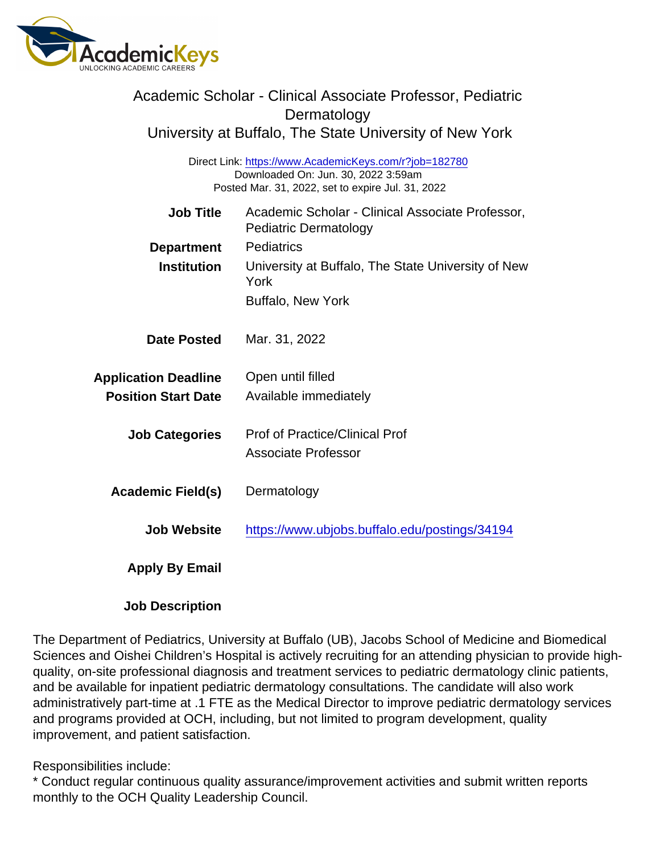| Academic Scholar - Clinical Associate Professor, Pediatric<br>Dermatology<br>University at Buffalo, The State University of New York               |                                                                                  |
|----------------------------------------------------------------------------------------------------------------------------------------------------|----------------------------------------------------------------------------------|
| Direct Link: https://www.AcademicKeys.com/r?job=182780<br>Downloaded On: Jun. 30, 2022 3:59am<br>Posted Mar. 31, 2022, set to expire Jul. 31, 2022 |                                                                                  |
| <b>Job Title</b>                                                                                                                                   | Academic Scholar - Clinical Associate Professor,<br><b>Pediatric Dermatology</b> |
| Department<br>Institution                                                                                                                          | <b>Pediatrics</b><br>University at Buffalo, The State University of New<br>York  |
|                                                                                                                                                    | <b>Buffalo, New York</b>                                                         |
| Date Posted                                                                                                                                        | Mar. 31, 2022                                                                    |
| <b>Application Deadline</b><br><b>Position Start Date</b>                                                                                          | Open until filled<br>Available immediately                                       |
| <b>Job Categories</b>                                                                                                                              | <b>Prof of Practice/Clinical Prof</b><br><b>Associate Professor</b>              |
| Academic Field(s)                                                                                                                                  | Dermatology                                                                      |
| <b>Job Website</b>                                                                                                                                 | https://www.ubjobs.buffalo.edu/postings/34194                                    |
| Apply By Email                                                                                                                                     |                                                                                  |
|                                                                                                                                                    |                                                                                  |

The Department of Pediatrics, University at Buffalo (UB), Jacobs School of Medicine and Biomedical Sciences and Oishei Children's Hospital is actively recruiting for an attending physician to provide highquality, on-site professional diagnosis and treatment services to pediatric dermatology clinic patients, and be available for inpatient pediatric dermatology consultations. The candidate will also work administratively part-time at .1 FTE as the Medical Director to improve pediatric dermatology services and programs provided at OCH, including, but not limited to program development, quality improvement, and patient satisfaction.

Responsibilities include:

Job Description

\* Conduct regular continuous quality assurance/improvement activities and submit written reports monthly to the OCH Quality Leadership Council.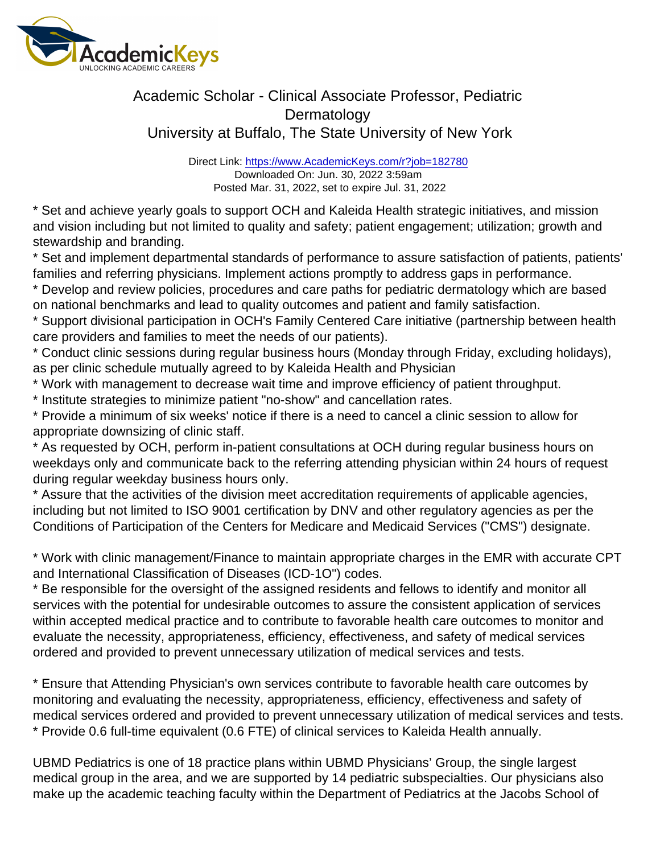## Academic Scholar - Clinical Associate Professor, Pediatric Dermatology University at Buffalo, The State University of New York

Direct Link: <https://www.AcademicKeys.com/r?job=182780> Downloaded On: Jun. 30, 2022 3:59am Posted Mar. 31, 2022, set to expire Jul. 31, 2022

\* Set and achieve yearly goals to support OCH and Kaleida Health strategic initiatives, and mission and vision including but not limited to quality and safety; patient engagement; utilization; growth and stewardship and branding.

\* Set and implement departmental standards of performance to assure satisfaction of patients, patients' families and referring physicians. Implement actions promptly to address gaps in performance.

\* Develop and review policies, procedures and care paths for pediatric dermatology which are based on national benchmarks and lead to quality outcomes and patient and family satisfaction.

\* Support divisional participation in OCH's Family Centered Care initiative (partnership between health care providers and families to meet the needs of our patients).

\* Conduct clinic sessions during regular business hours (Monday through Friday, excluding holidays), as per clinic schedule mutually agreed to by Kaleida Health and Physician

\* Work with management to decrease wait time and improve efficiency of patient throughput.

\* Institute strategies to minimize patient "no-show" and cancellation rates.

\* Provide a minimum of six weeks' notice if there is a need to cancel a clinic session to allow for appropriate downsizing of clinic staff.

\* As requested by OCH, perform in-patient consultations at OCH during regular business hours on weekdays only and communicate back to the referring attending physician within 24 hours of request during regular weekday business hours only.

\* Assure that the activities of the division meet accreditation requirements of applicable agencies, including but not limited to ISO 9001 certification by DNV and other regulatory agencies as per the Conditions of Participation of the Centers for Medicare and Medicaid Services ("CMS") designate.

\* Work with clinic management/Finance to maintain appropriate charges in the EMR with accurate CPT and International Classification of Diseases (ICD-1O") codes.

\* Be responsible for the oversight of the assigned residents and fellows to identify and monitor all services with the potential for undesirable outcomes to assure the consistent application of services within accepted medical practice and to contribute to favorable health care outcomes to monitor and evaluate the necessity, appropriateness, efficiency, effectiveness, and safety of medical services ordered and provided to prevent unnecessary utilization of medical services and tests.

\* Ensure that Attending Physician's own services contribute to favorable health care outcomes by monitoring and evaluating the necessity, appropriateness, efficiency, effectiveness and safety of medical services ordered and provided to prevent unnecessary utilization of medical services and tests. \* Provide 0.6 full-time equivalent (0.6 FTE) of clinical services to Kaleida Health annually.

UBMD Pediatrics is one of 18 practice plans within UBMD Physicians' Group, the single largest medical group in the area, and we are supported by 14 pediatric subspecialties. Our physicians also make up the academic teaching faculty within the Department of Pediatrics at the Jacobs School of